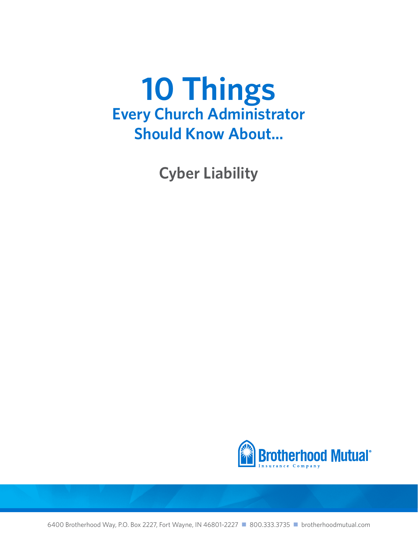**Cyber Liability**

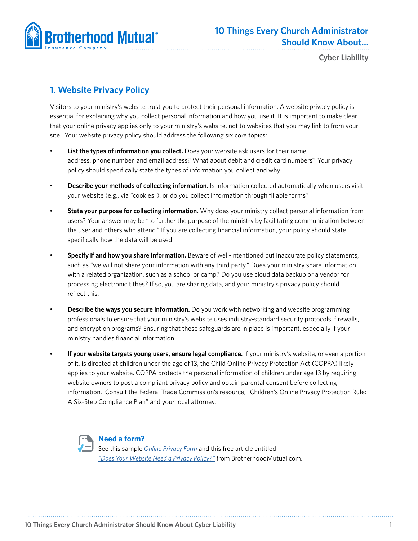

**Cyber Liability**

## **1. Website Privacy Policy**

Visitors to your ministry's website trust you to protect their personal information. A website privacy policy is essential for explaining why you collect personal information and how you use it. It is important to make clear that your online privacy applies only to your ministry's website, not to websites that you may link to from your site. Your website privacy policy should address the following six core topics:

- **List the types of information you collect.** Does your website ask users for their name, address, phone number, and email address? What about debit and credit card numbers? Your privacy policy should specifically state the types of information you collect and why.
- **Describe your methods of collecting information.** Is information collected automatically when users visit your website (e.g., via "cookies"), or do you collect information through fillable forms?
- **State your purpose for collecting information.** Why does your ministry collect personal information from users? Your answer may be "to further the purpose of the ministry by facilitating communication between the user and others who attend." If you are collecting financial information, your policy should state specifically how the data will be used.
- **Specify if and how you share information.** Beware of well-intentioned but inaccurate policy statements, such as "we will not share your information with any third party." Does your ministry share information with a related organization, such as a school or camp? Do you use cloud data backup or a vendor for processing electronic tithes? If so, you are sharing data, and your ministry's privacy policy should reflect this.
- **Describe the ways you secure information.** Do you work with networking and website programming professionals to ensure that your ministry's website uses industry-standard security protocols, firewalls, and encryption programs? Ensuring that these safeguards are in place is important, especially if your ministry handles financial information.
- **If your website targets young users, ensure legal compliance.** If your ministry's website, or even a portion of it, is directed at children under the age of 13, the Child Online Privacy Protection Act (COPPA) likely applies to your website. COPPA protects the personal information of children under age 13 by requiring website owners to post a compliant privacy policy and obtain parental consent before collecting information. Consult the Federal Trade Commission's resource, "Children's Online Privacy Protection Rule: A Six-Step Compliance Plan" and your local attorney.



### **Need a form?**

See this sample *[Online Privacy Form](http://www.brotherhoodmutual.com/index.cfm/resources/ministry-safety/article/website-privacy-policy/)* and this free article entitled *["Does Your Website Need a Privacy Policy?"](http://www.brotherhoodmutual.com/index.cfm/resources/ministry-safety/article/website-privacy-policy/)* from BrotherhoodMutual.com.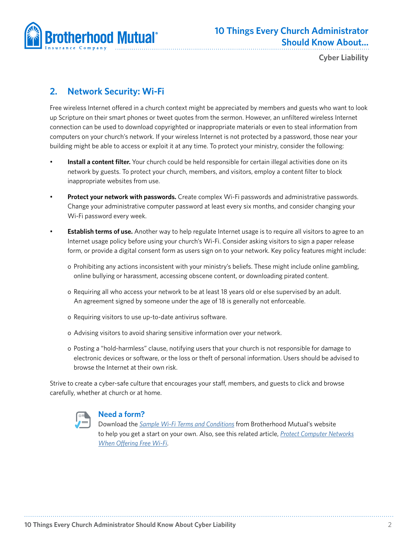

**Cyber Liability**

# **2. Network Security: Wi-Fi**

Free wireless Internet offered in a church context might be appreciated by members and guests who want to look up Scripture on their smart phones or tweet quotes from the sermon. However, an unfiltered wireless Internet connection can be used to download copyrighted or inappropriate materials or even to steal information from computers on your church's network. If your wireless Internet is not protected by a password, those near your building might be able to access or exploit it at any time. To protect your ministry, consider the following:

- **Install a content filter.** Your church could be held responsible for certain illegal activities done on its network by guests. To protect your church, members, and visitors, employ a content filter to block inappropriate websites from use.
- **Protect your network with passwords.** Create complex Wi-Fi passwords and administrative passwords. Change your administrative computer password at least every six months, and consider changing your Wi-Fi password every week.
- **Establish terms of use.** Another way to help regulate Internet usage is to require all visitors to agree to an Internet usage policy before using your church's Wi-Fi. Consider asking visitors to sign a paper release form, or provide a digital consent form as users sign on to your network. Key policy features might include:
	- o Prohibiting any actions inconsistent with your ministry's beliefs. These might include online gambling, online bullying or harassment, accessing obscene content, or downloading pirated content.
	- o Requiring all who access your network to be at least 18 years old or else supervised by an adult. An agreement signed by someone under the age of 18 is generally not enforceable.
	- o Requiring visitors to use up-to-date antivirus software.
	- o Advising visitors to avoid sharing sensitive information over your network.
	- o Posting a "hold-harmless" clause, notifying users that your church is not responsible for damage to electronic devices or software, or the loss or theft of personal information. Users should be advised to browse the Internet at their own risk.

Strive to create a cyber-safe culture that encourages your staff, members, and guests to click and browse carefully, whether at church or at home.



### **Need a form?**

Download the *Sample [Wi-Fi Terms and Conditions](http://www.brotherhoodmutual.com/www/?linkservid=CF306E1F-5056-9600-430325C92E489A79&showMeta=2&ext=.pdf)* from Brotherhood Mutual's website to help you get a start on your own. Also, see this related article, *[Protect Computer Networks](http://www.brotherhoodmutual.com/index.cfm/resources/ministry-safety/article/free-wi-fi-at-church/) [When Offering Free Wi-Fi](http://www.brotherhoodmutual.com/index.cfm/resources/ministry-safety/article/free-wi-fi-at-church/)*.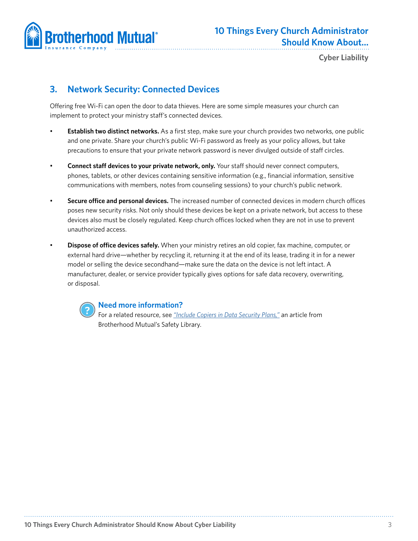

# **3. Network Security: Connected Devices**

Offering free Wi-Fi can open the door to data thieves. Here are some simple measures your church can implement to protect your ministry staff's connected devices.

- **Establish two distinct networks.** As a first step, make sure your church provides two networks, one public and one private. Share your church's public Wi-Fi password as freely as your policy allows, but take precautions to ensure that your private network password is never divulged outside of staff circles.
- **Connect staff devices to your private network, only.** Your staff should never connect computers, phones, tablets, or other devices containing sensitive information (e.g., financial information, sensitive communications with members, notes from counseling sessions) to your church's public network.
- **Secure office and personal devices.** The increased number of connected devices in modern church offices poses new security risks. Not only should these devices be kept on a private network, but access to these devices also must be closely regulated. Keep church offices locked when they are not in use to prevent unauthorized access.
- **Dispose of office devices safely.** When your ministry retires an old copier, fax machine, computer, or external hard drive—whether by recycling it, returning it at the end of its lease, trading it in for a newer model or selling the device secondhand—make sure the data on the device is not left intact. A manufacturer, dealer, or service provider typically gives options for safe data recovery, overwriting, or disposal.



### **Need more information?**

For a related resource, see *["Include Copiers in Data Security Plans,"](http://www.brotherhoodmutual.com/index.cfm/resources/ministry-safety/article/copier-data-security/)* an article from Brotherhood Mutual's Safety Library.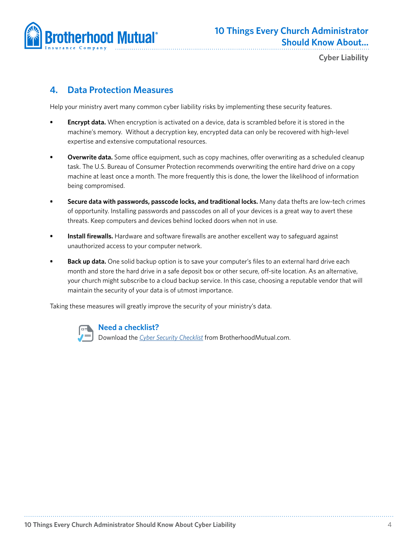

**Cyber Liability**

# **4. Data Protection Measures**

Help your ministry avert many common cyber liability risks by implementing these security features.

- **• Encrypt data.** When encryption is activated on a device, data is scrambled before it is stored in the machine's memory. Without a decryption key, encrypted data can only be recovered with high-level expertise and extensive computational resources.
- **Overwrite data.** Some office equipment, such as copy machines, offer overwriting as a scheduled cleanup task. The U.S. Bureau of Consumer Protection recommends overwriting the entire hard drive on a copy machine at least once a month. The more frequently this is done, the lower the likelihood of information being compromised.
- **• Secure data with passwords, passcode locks, and traditional locks.** Many data thefts are low-tech crimes of opportunity. Installing passwords and passcodes on all of your devices is a great way to avert these threats. Keep computers and devices behind locked doors when not in use.
- **• Install firewalls.** Hardware and software firewalls are another excellent way to safeguard against unauthorized access to your computer network.
- **• Back up data.** One solid backup option is to save your computer's files to an external hard drive each month and store the hard drive in a safe deposit box or other secure, off-site location. As an alternative, your church might subscribe to a cloud backup service. In this case, choosing a reputable vendor that will maintain the security of your data is of utmost importance.

Taking these measures will greatly improve the security of your ministry's data.



### **Need a checklist?**

Download the *[Cyber Security Checklist](http://www.brotherhoodmutual.com/www/?linkservid=A25711DF-6715-42BA-8BD7746D60DD50B2&showMeta=2&ext=.pdf)* from BrotherhoodMutual.com.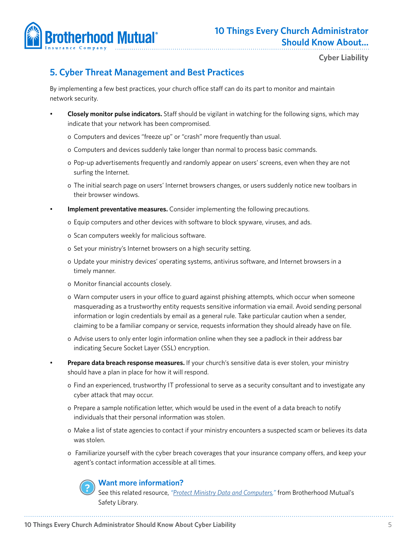

# **5. Cyber Threat Management and Best Practices**

By implementing a few best practices, your church office staff can do its part to monitor and maintain network security.

- **Closely monitor pulse indicators.** Staff should be vigilant in watching for the following signs, which may indicate that your network has been compromised.
	- o Computers and devices "freeze up" or "crash" more frequently than usual.
	- o Computers and devices suddenly take longer than normal to process basic commands.
	- o Pop-up advertisements frequently and randomly appear on users' screens, even when they are not surfing the Internet.
	- o The initial search page on users' Internet browsers changes, or users suddenly notice new toolbars in their browser windows.
	- **Implement preventative measures.** Consider implementing the following precautions.
		- o Equip computers and other devices with software to block spyware, viruses, and ads.
		- o Scan computers weekly for malicious software.
		- o Set your ministry's Internet browsers on a high security setting.
		- o Update your ministry devices' operating systems, antivirus software, and Internet browsers in a timely manner.
		- o Monitor financial accounts closely.
		- o Warn computer users in your office to guard against phishing attempts, which occur when someone masquerading as a trustworthy entity requests sensitive information via email. Avoid sending personal information or login credentials by email as a general rule. Take particular caution when a sender, claiming to be a familiar company or service, requests information they should already have on file.
		- o Advise users to only enter login information online when they see a padlock in their address bar indicating Secure Socket Layer (SSL) encryption.
	- **Prepare data breach response measures.** If your church's sensitive data is ever stolen, your ministry should have a plan in place for how it will respond.
		- o Find an experienced, trustworthy IT professional to serve as a security consultant and to investigate any cyber attack that may occur.
		- o Prepare a sample notification letter, which would be used in the event of a data breach to notify individuals that their personal information was stolen.
		- o Make a list of state agencies to contact if your ministry encounters a suspected scam or believes its data was stolen.
		- o Familiarize yourself with the cyber breach coverages that your insurance company offers, and keep your agent's contact information accessible at all times.



### **Want more information?**

See this related resource, *"[Protect Ministry Data and Computers](http://www.brotherhoodmutual.com/index.cfm/resources/ministry-safety/article/protect-church-memberse28099-personal-information/),"* from Brotherhood Mutual's Safety Library.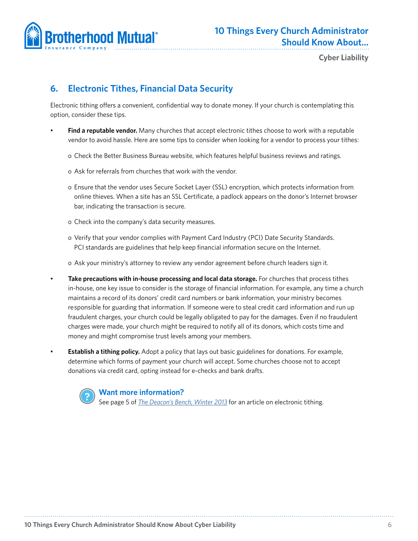

# **6. Electronic Tithes, Financial Data Security**

Electronic tithing offers a convenient, confidential way to donate money. If your church is contemplating this option, consider these tips.

- **Find a reputable vendor.** Many churches that accept electronic tithes choose to work with a reputable vendor to avoid hassle. Here are some tips to consider when looking for a vendor to process your tithes:
	- o Check the Better Business Bureau website, which features helpful business reviews and ratings.
	- o Ask for referrals from churches that work with the vendor.
	- o Ensure that the vendor uses Secure Socket Layer (SSL) encryption, which protects information from online thieves. When a site has an SSL Certificate, a padlock appears on the donor's Internet browser bar, indicating the transaction is secure.
	- o Check into the company's data security measures.
	- o Verify that your vendor complies with Payment Card Industry (PCI) Date Security Standards. PCI standards are guidelines that help keep financial information secure on the Internet.
	- o Ask your ministry's attorney to review any vendor agreement before church leaders sign it.
- **Take precautions with in-house processing and local data storage.** For churches that process tithes in-house, one key issue to consider is the storage of financial information. For example, any time a church maintains a record of its donors' credit card numbers or bank information, your ministry becomes responsible for guarding that information. If someone were to steal credit card information and run up fraudulent charges, your church could be legally obligated to pay for the damages. Even if no fraudulent charges were made, your church might be required to notify all of its donors, which costs time and money and might compromise trust levels among your members.
- **Establish a tithing policy.** Adopt a policy that lays out basic guidelines for donations. For example, determine which forms of payment your church will accept. Some churches choose not to accept donations via credit card, opting instead for e-checks and bank drafts.

### **Want more information?**

See page 5 of *[The Deacon's Bench, Winter 2013](http://www.brotherhoodmutual.com/www/?linkservid=DC229FD5-5056-9600-431FAC47AB7B7252&showMeta=2&ext=.pdf)* for an article on electronic tithing.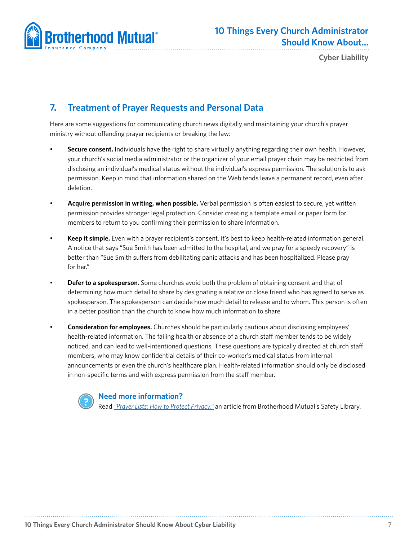

**Cyber Liability**

## **7. Treatment of Prayer Requests and Personal Data**

Here are some suggestions for communicating church news digitally and maintaining your church's prayer ministry without offending prayer recipients or breaking the law:

- **Secure consent.** Individuals have the right to share virtually anything regarding their own health. However, your church's social media administrator or the organizer of your email prayer chain may be restricted from disclosing an individual's medical status without the individual's express permission. The solution is to ask permission. Keep in mind that information shared on the Web tends leave a permanent record, even after deletion.
- **Acquire permission in writing, when possible.** Verbal permission is often easiest to secure, yet written permission provides stronger legal protection. Consider creating a template email or paper form for members to return to you confirming their permission to share information.
- **Keep it simple.** Even with a prayer recipient's consent, it's best to keep health-related information general. A notice that says "Sue Smith has been admitted to the hospital, and we pray for a speedy recovery" is better than "Sue Smith suffers from debilitating panic attacks and has been hospitalized. Please pray for her."
- **Defer to a spokesperson.** Some churches avoid both the problem of obtaining consent and that of determining how much detail to share by designating a relative or close friend who has agreed to serve as spokesperson. The spokesperson can decide how much detail to release and to whom. This person is often in a better position than the church to know how much information to share.
- **Consideration for employees.** Churches should be particularly cautious about disclosing employees' health-related information. The failing health or absence of a church staff member tends to be widely noticed, and can lead to well-intentioned questions. These questions are typically directed at church staff members, who may know confidential details of their co-worker's medical status from internal announcements or even the church's healthcare plan. Health-related information should only be disclosed in non-specific terms and with express permission from the staff member.

### **Need more information?**

Read *["Prayer Lists: How to Protect Privacy,"](http://www.brotherhoodmutual.com/index.cfm/resources/ministry-safety/article/prayer-lists-how-to-protect-privacy/)* an article from Brotherhood Mutual's Safety Library.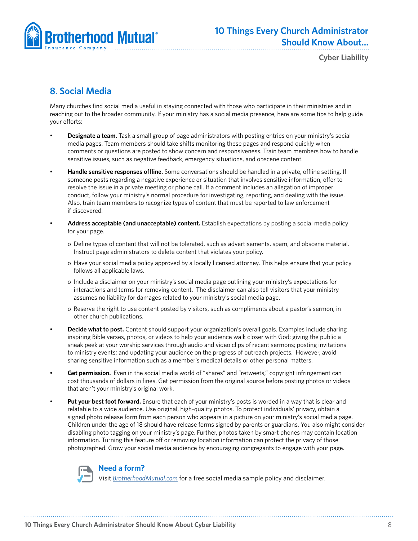

**Cyber Liability**

# **8. Social Media**

Many churches find social media useful in staying connected with those who participate in their ministries and in reaching out to the broader community. If your ministry has a social media presence, here are some tips to help guide your efforts:

- **Designate a team.** Task a small group of page administrators with posting entries on your ministry's social media pages. Team members should take shifts monitoring these pages and respond quickly when comments or questions are posted to show concern and responsiveness. Train team members how to handle sensitive issues, such as negative feedback, emergency situations, and obscene content.
- **Handle sensitive responses offline.** Some conversations should be handled in a private, offline setting. If someone posts regarding a negative experience or situation that involves sensitive information, offer to resolve the issue in a private meeting or phone call. If a comment includes an allegation of improper conduct, follow your ministry's normal procedure for investigating, reporting, and dealing with the issue. Also, train team members to recognize types of content that must be reported to law enforcement if discovered.
- **Address acceptable (and unacceptable) content.** Establish expectations by posting a social media policy for your page.
	- o Define types of content that will not be tolerated, such as advertisements, spam, and obscene material. Instruct page administrators to delete content that violates your policy.
	- o Have your social media policy approved by a locally licensed attorney. This helps ensure that your policy follows all applicable laws.
	- o Include a disclaimer on your ministry's social media page outlining your ministry's expectations for interactions and terms for removing content. The disclaimer can also tell visitors that your ministry assumes no liability for damages related to your ministry's social media page.
	- o Reserve the right to use content posted by visitors, such as compliments about a pastor's sermon, in other church publications.
- **Decide what to post.** Content should support your organization's overall goals. Examples include sharing inspiring Bible verses, photos, or videos to help your audience walk closer with God; giving the public a sneak peek at your worship services through audio and video clips of recent sermons; posting invitations to ministry events; and updating your audience on the progress of outreach projects. However, avoid sharing sensitive information such as a member's medical details or other personal matters.
- **Get permission.** Even in the social media world of "shares" and "retweets," copyright infringement can cost thousands of dollars in fines. Get permission from the original source before posting photos or videos that aren't your ministry's original work.
- **Put your best foot forward.** Ensure that each of your ministry's posts is worded in a way that is clear and relatable to a wide audience. Use original, high-quality photos. To protect individuals' privacy, obtain a signed photo release form from each person who appears in a picture on your ministry's social media page. Children under the age of 18 should have release forms signed by parents or guardians. You also might consider disabling photo tagging on your ministry's page. Further, photos taken by smart phones may contain location information. Turning this feature off or removing location information can protect the privacy of those photographed. Grow your social media audience by encouraging congregants to engage with your page.



### **Need a form?**

Visit *[BrotherhoodMutual.com](http://www.BrotherhoodMutual.com)* for a free social media sample policy and disclaimer.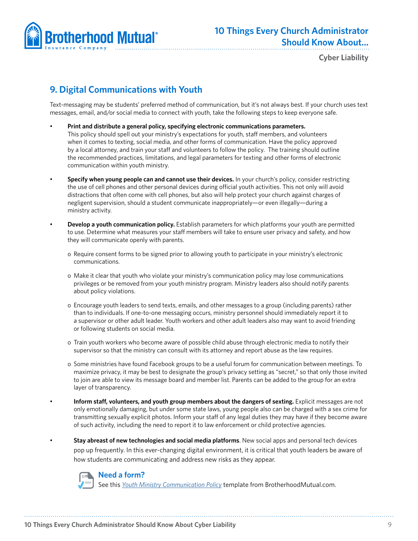

## **9. Digital Communications with Youth**

Text-messaging may be students' preferred method of communication, but it's not always best. If your church uses text messages, email, and/or social media to connect with youth, take the following steps to keep everyone safe.

- **Print and distribute a general policy, specifying electronic communications parameters.** This policy should spell out your ministry's expectations for youth, staff members, and volunteers when it comes to texting, social media, and other forms of communication. Have the policy approved by a local attorney, and train your staff and volunteers to follow the policy. The training should outline the recommended practices, limitations, and legal parameters for texting and other forms of electronic communication within youth ministry.
- **Specify when young people can and cannot use their devices.** In your church's policy, consider restricting the use of cell phones and other personal devices during official youth activities. This not only will avoid distractions that often come with cell phones, but also will help protect your church against charges of negligent supervision, should a student communicate inappropriately—or even illegally—during a ministry activity.
- **Develop a youth communication policy.** Establish parameters for which platforms your youth are permitted to use. Determine what measures your staff members will take to ensure user privacy and safety, and how they will communicate openly with parents.
	- o Require consent forms to be signed prior to allowing youth to participate in your ministry's electronic communications.
	- o Make it clear that youth who violate your ministry's communication policy may lose communications privileges or be removed from your youth ministry program. Ministry leaders also should notify parents about policy violations.
	- o Encourage youth leaders to send texts, emails, and other messages to a group (including parents) rather than to individuals. If one-to-one messaging occurs, ministry personnel should immediately report it to a supervisor or other adult leader. Youth workers and other adult leaders also may want to avoid friending or following students on social media.
	- o Train youth workers who become aware of possible child abuse through electronic media to notify their supervisor so that the ministry can consult with its attorney and report abuse as the law requires.
	- o Some ministries have found Facebook groups to be a useful forum for communication between meetings. To maximize privacy, it may be best to designate the group's privacy setting as "secret," so that only those invited to join are able to view its message board and member list. Parents can be added to the group for an extra layer of transparency.
- **Inform staff, volunteers, and youth group members about the dangers of sexting.** Explicit messages are not only emotionally damaging, but under some state laws, young people also can be charged with a sex crime for transmitting sexually explicit photos. Inform your staff of any legal duties they may have if they become aware of such activity, including the need to report it to law enforcement or child protective agencies.

• **Stay abreast of new technologies and social media platforms**. New social apps and personal tech devices pop up frequently. In this ever-changing digital environment, it is critical that youth leaders be aware of how students are communicating and address new risks as they appear.



### **Need a form?**

See this *[Youth Ministry Communication Policy](http://www.brotherhoodmutual.com/www/?linkservid=94F9C70B-CBA5-0FFB-96A122AD1CAF46D9&showMeta=2&ext=.pdf)* template from BrotherhoodMutual.com.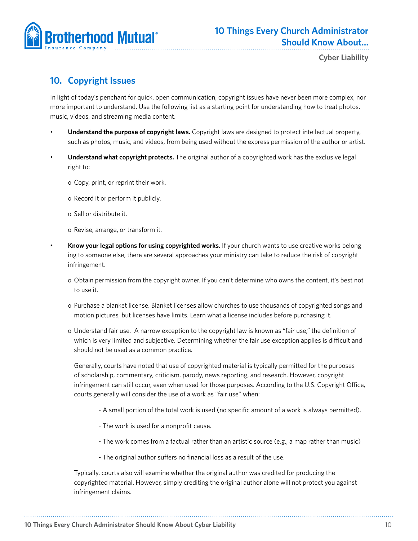

# **10. Copyright Issues**

In light of today's penchant for quick, open communication, copyright issues have never been more complex, nor more important to understand. Use the following list as a starting point for understanding how to treat photos, music, videos, and streaming media content.

- **Understand the purpose of copyright laws.** Copyright laws are designed to protect intellectual property, such as photos, music, and videos, from being used without the express permission of the author or artist.
- **Understand what copyright protects.** The original author of a copyrighted work has the exclusive legal right to:
	- o Copy, print, or reprint their work.
	- o Record it or perform it publicly.
	- o Sell or distribute it.
	- o Revise, arrange, or transform it.
- **Know your legal options for using copyrighted works.** If your church wants to use creative works belong ing to someone else, there are several approaches your ministry can take to reduce the risk of copyright infringement.
	- o Obtain permission from the copyright owner. If you can't determine who owns the content, it's best not to use it.
	- o Purchase a blanket license. Blanket licenses allow churches to use thousands of copyrighted songs and motion pictures, but licenses have limits. Learn what a license includes before purchasing it.
	- o Understand fair use. A narrow exception to the copyright law is known as "fair use," the definition of which is very limited and subjective. Determining whether the fair use exception applies is difficult and should not be used as a common practice.

Generally, courts have noted that use of copyrighted material is typically permitted for the purposes of scholarship, commentary, criticism, parody, news reporting, and research. However, copyright infringement can still occur, even when used for those purposes. According to the U.S. Copyright Office, courts generally will consider the use of a work as "fair use" when:

- A small portion of the total work is used (no specific amount of a work is always permitted).
- The work is used for a nonprofit cause.
- The work comes from a factual rather than an artistic source (e.g., a map rather than music)
- The original author suffers no financial loss as a result of the use.

Typically, courts also will examine whether the original author was credited for producing the copyrighted material. However, simply crediting the original author alone will not protect you against infringement claims.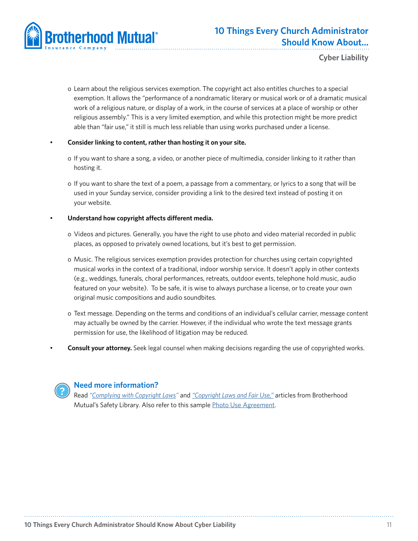

- o Learn about the religious services exemption. The copyright act also entitles churches to a special exemption. It allows the "performance of a nondramatic literary or musical work or of a dramatic musical work of a religious nature, or display of a work, in the course of services at a place of worship or other religious assembly." This is a very limited exemption, and while this protection might be more predict able than "fair use," it still is much less reliable than using works purchased under a license.
- **Consider linking to content, rather than hosting it on your site.**
	- o If you want to share a song, a video, or another piece of multimedia, consider linking to it rather than hosting it.
	- o If you want to share the text of a poem, a passage from a commentary, or lyrics to a song that will be used in your Sunday service, consider providing a link to the desired text instead of posting it on your website.

### • **Understand how copyright affects different media.**

- o Videos and pictures. Generally, you have the right to use photo and video material recorded in public places, as opposed to privately owned locations, but it's best to get permission.
- o Music. The religious services exemption provides protection for churches using certain copyrighted musical works in the context of a traditional, indoor worship service. It doesn't apply in other contexts (e.g., weddings, funerals, choral performances, retreats, outdoor events, telephone hold music, audio featured on your website). To be safe, it is wise to always purchase a license, or to create your own original music compositions and audio soundbites.
- o Text message. Depending on the terms and conditions of an individual's cellular carrier, message content may actually be owned by the carrier. However, if the individual who wrote the text message grants permission for use, the likelihood of litigation may be reduced.
- **Consult your attorney.** Seek legal counsel when making decisions regarding the use of copyrighted works.



### **Need more information?**

Read *"[Complying with Copyright Laws"](http://www.brotherhoodmutual.com/index.cfm/resources/ministry-safety/article/complying-with-copyright-laws/)* and *["Copyright Laws and Fair Use,"](http://www.brotherhoodmutual.com/www/index.cfm/resources/ministry-safety/article/copyright-laws-and-fair-use)* articles from Brotherhood Mutual's Safety Library. Also refer to this sample [Photo Use Agreement](http://www.brotherhoodmutual.com/index.cfm/resources/ministry-safety/article/photo-use-guidelines/).